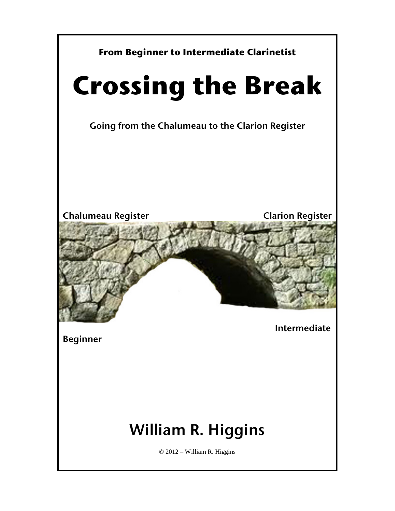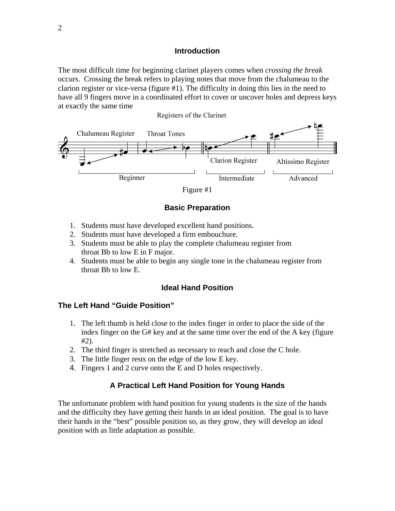#### **Introduction**

The most difficult time for beginning clarinet players comes when *crossing the break*  occurs. Crossing the break refers to playing notes that move from the chalumeau to the clarion register or vice-versa (figure #1). The difficulty in doing this lies in the need to have all 9 fingers move in a coordinated effort to cover or uncover holes and depress keys at exactly the same time



### **Basic Preparation**

- 1. Students must have developed excellent hand positions.
- 2. Students must have developed a firm embouchure.
- 3. Students must be able to play the complete chalumeau register from throat Bb to low E in F major.
- 4. Students must be able to begin any single tone in the chalumeau register from throat Bb to low E.

#### **Ideal Hand Position**

#### **The Left Hand "Guide Position"**

- 1. The left thumb is held close to the index finger in order to place the side of the index finger on the G# key and at the same time over the end of the A key (figure #2).
- 2. The third finger is stretched as necessary to reach and close the C hole.
- 3. The little finger rests on the edge of the low E key.
- 4. Fingers 1 and 2 curve onto the E and D holes respectively.

#### **A Practical Left Hand Position for Young Hands**

The unfortunate problem with hand position for young students is the size of the hands and the difficulty they have getting their hands in an ideal position. The goal is to have their hands in the "best" possible position so, as they grow, they will develop an ideal position with as little adaptation as possible.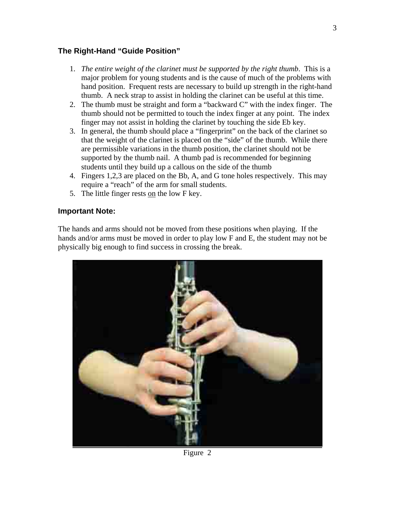## **The Right-Hand "Guide Position"**

- 1. *The entire weight of the clarinet must be supported by the right thumb*. This is a major problem for young students and is the cause of much of the problems with hand position. Frequent rests are necessary to build up strength in the right-hand thumb. A neck strap to assist in holding the clarinet can be useful at this time.
- 2. The thumb must be straight and form a "backward C" with the index finger. The thumb should not be permitted to touch the index finger at any point. The index finger may not assist in holding the clarinet by touching the side Eb key.
- 3. In general, the thumb should place a "fingerprint" on the back of the clarinet so that the weight of the clarinet is placed on the "side" of the thumb. While there are permissible variations in the thumb position, the clarinet should not be supported by the thumb nail. A thumb pad is recommended for beginning students until they build up a callous on the side of the thumb
- 4. Fingers 1,2,3 are placed on the Bb, A, and G tone holes respectively. This may require a "reach" of the arm for small students.
- 5. The little finger rests on the low F key.

## **Important Note:**

The hands and arms should not be moved from these positions when playing. If the hands and/or arms must be moved in order to play low F and E, the student may not be physically big enough to find success in crossing the break.



Figure 2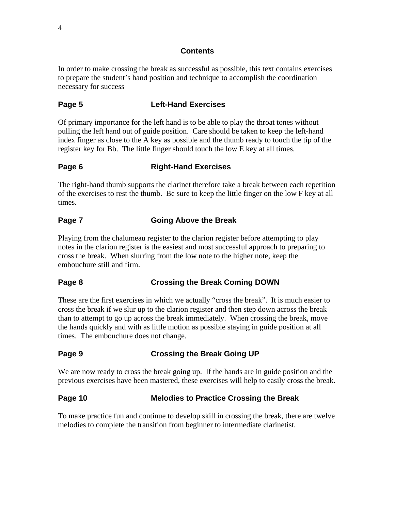#### **Contents**

In order to make crossing the break as successful as possible, this text contains exercises to prepare the student's hand position and technique to accomplish the coordination necessary for success

## **Page 5 Left-Hand Exercises**

Of primary importance for the left hand is to be able to play the throat tones without pulling the left hand out of guide position. Care should be taken to keep the left-hand index finger as close to the A key as possible and the thumb ready to touch the tip of the register key for Bb. The little finger should touch the low E key at all times.

## **Page 6 Right-Hand Exercises**

The right-hand thumb supports the clarinet therefore take a break between each repetition of the exercises to rest the thumb. Be sure to keep the little finger on the low F key at all times.

## **Page 7 Going Above the Break**

Playing from the chalumeau register to the clarion register before attempting to play notes in the clarion register is the easiest and most successful approach to preparing to cross the break. When slurring from the low note to the higher note, keep the embouchure still and firm.

### **Page 8 Crossing the Break Coming DOWN**

These are the first exercises in which we actually "cross the break". It is much easier to cross the break if we slur up to the clarion register and then step down across the break than to attempt to go up across the break immediately. When crossing the break, move the hands quickly and with as little motion as possible staying in guide position at all times. The embouchure does not change.

### **Page 9 Crossing the Break Going UP**

We are now ready to cross the break going up. If the hands are in guide position and the previous exercises have been mastered, these exercises will help to easily cross the break.

### **Page 10 Melodies to Practice Crossing the Break**

To make practice fun and continue to develop skill in crossing the break, there are twelve melodies to complete the transition from beginner to intermediate clarinetist.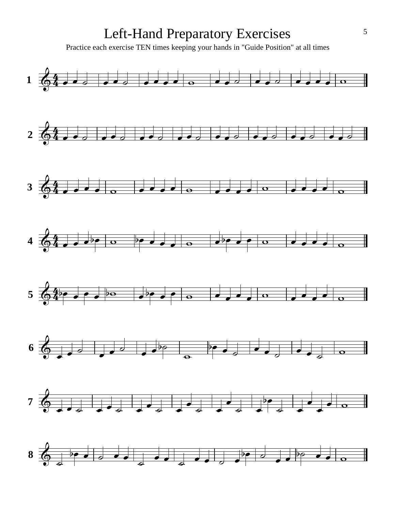## Left-Hand Preparatory Exercises

Practice each exercise TEN times keeping your hands in "Guide Position" at all times

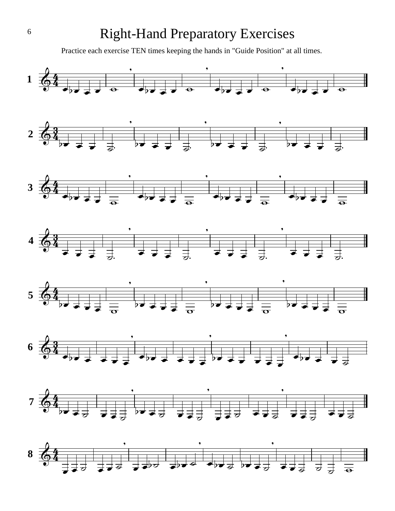## Right-Hand Preparatory Exercises

Practice each exercise TEN times keeping the hands in "Guide Position" at all times.

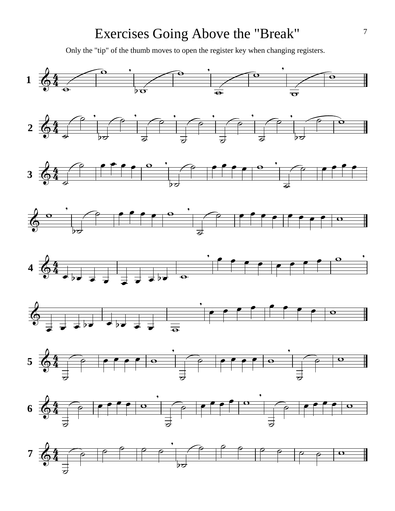## Exercises Going Above the "Break"

Only the "tip" of the thumb moves to open the register key when changing registers.

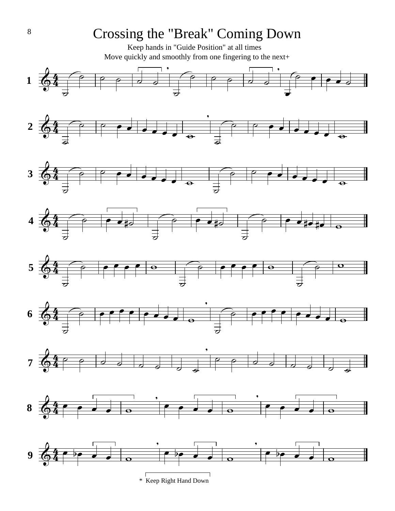## Crossing the "Break" Coming Down

Move quickly and smoothly from one fingering to the next+ Keep hands in "Guide Position" at all times

















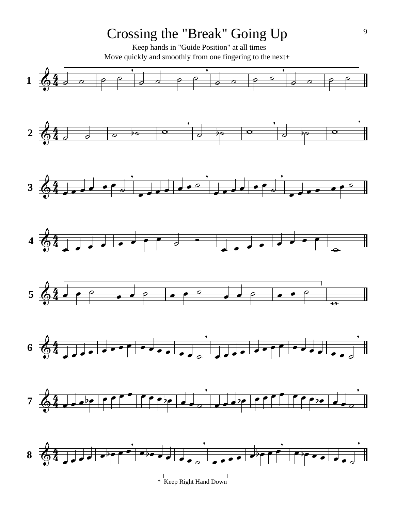# Crossing the "Break" Going Up

Move quickly and smoothly from one fingering to the next+ Keep hands in "Guide Position" at all times

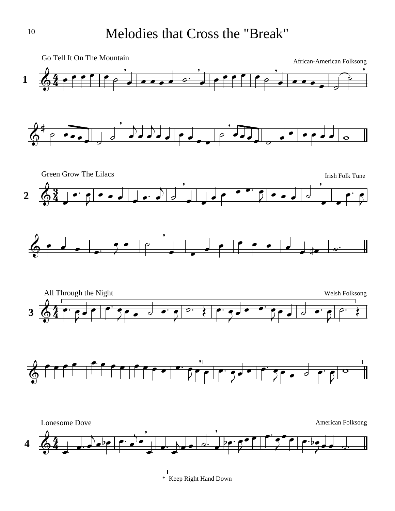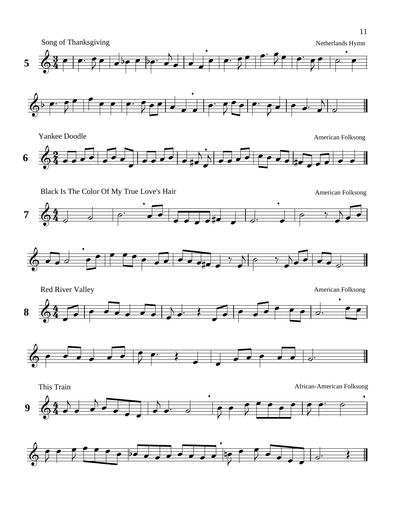